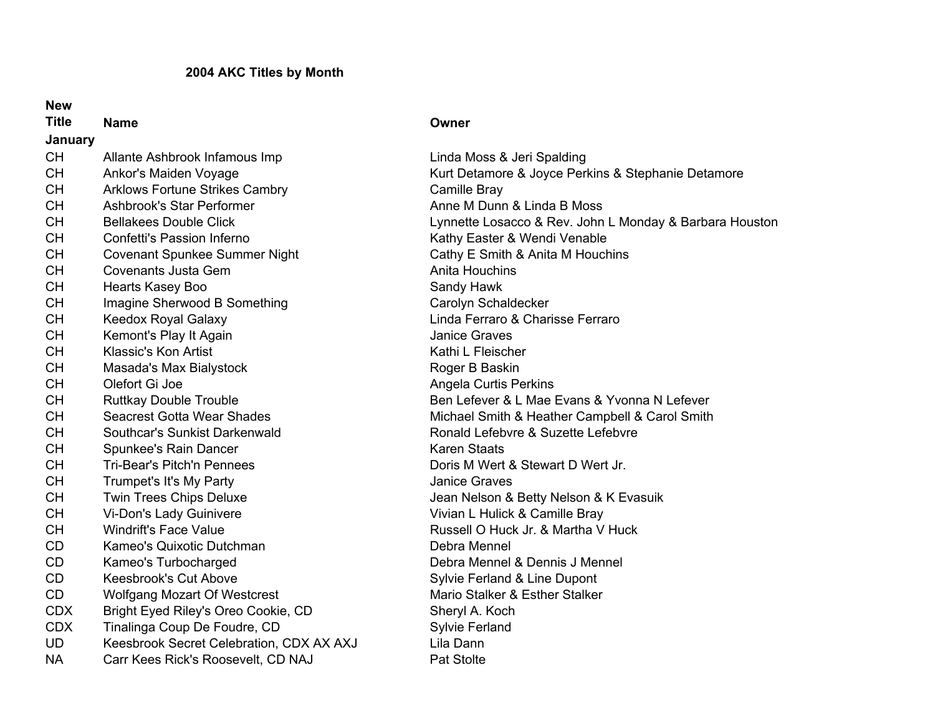# **2004 AKC Titles by Month**

| <b>New</b>   |                                          |                                                         |
|--------------|------------------------------------------|---------------------------------------------------------|
| <b>Title</b> | <b>Name</b>                              | Owner                                                   |
| January      |                                          |                                                         |
| <b>CH</b>    | Allante Ashbrook Infamous Imp            | Linda Moss & Jeri Spalding                              |
| <b>CH</b>    | Ankor's Maiden Voyage                    | Kurt Detamore & Joyce Perkins & Stephanie Detamore      |
| <b>CH</b>    | <b>Arklows Fortune Strikes Cambry</b>    | Camille Bray                                            |
| <b>CH</b>    | Ashbrook's Star Performer                | Anne M Dunn & Linda B Moss                              |
| <b>CH</b>    | <b>Bellakees Double Click</b>            | Lynnette Losacco & Rev. John L Monday & Barbara Houston |
| <b>CH</b>    | Confetti's Passion Inferno               | Kathy Easter & Wendi Venable                            |
| <b>CH</b>    | <b>Covenant Spunkee Summer Night</b>     | Cathy E Smith & Anita M Houchins                        |
| <b>CH</b>    | <b>Covenants Justa Gem</b>               | <b>Anita Houchins</b>                                   |
| <b>CH</b>    | Hearts Kasey Boo                         | Sandy Hawk                                              |
| <b>CH</b>    | Imagine Sherwood B Something             | Carolyn Schaldecker                                     |
| <b>CH</b>    | <b>Keedox Royal Galaxy</b>               | Linda Ferraro & Charisse Ferraro                        |
| <b>CH</b>    | Kemont's Play It Again                   | <b>Janice Graves</b>                                    |
| <b>CH</b>    | Klassic's Kon Artist                     | Kathi L Fleischer                                       |
| <b>CH</b>    | Masada's Max Bialystock                  | Roger B Baskin                                          |
| <b>CH</b>    | Olefort Gi Joe                           | <b>Angela Curtis Perkins</b>                            |
| <b>CH</b>    | <b>Ruttkay Double Trouble</b>            | Ben Lefever & L Mae Evans & Yvonna N Lefever            |
| <b>CH</b>    | <b>Seacrest Gotta Wear Shades</b>        | Michael Smith & Heather Campbell & Carol Smith          |
| <b>CH</b>    | Southcar's Sunkist Darkenwald            | Ronald Lefebyre & Suzette Lefebyre                      |
| <b>CH</b>    | Spunkee's Rain Dancer                    | <b>Karen Staats</b>                                     |
| <b>CH</b>    | <b>Tri-Bear's Pitch'n Pennees</b>        | Doris M Wert & Stewart D Wert Jr.                       |
| <b>CH</b>    | Trumpet's It's My Party                  | Janice Graves                                           |
| <b>CH</b>    | Twin Trees Chips Deluxe                  | Jean Nelson & Betty Nelson & K Evasuik                  |
| <b>CH</b>    | Vi-Don's Lady Guinivere                  | Vivian L Hulick & Camille Bray                          |
| <b>CH</b>    | <b>Windrift's Face Value</b>             | Russell O Huck Jr. & Martha V Huck                      |
| CD           | Kameo's Quixotic Dutchman                | Debra Mennel                                            |
| <b>CD</b>    | Kameo's Turbocharged                     | Debra Mennel & Dennis J Mennel                          |
| CD           | <b>Keesbrook's Cut Above</b>             | Sylvie Ferland & Line Dupont                            |
| CD           | <b>Wolfgang Mozart Of Westcrest</b>      | Mario Stalker & Esther Stalker                          |
| <b>CDX</b>   | Bright Eyed Riley's Oreo Cookie, CD      | Sheryl A. Koch                                          |
| <b>CDX</b>   | Tinalinga Coup De Foudre, CD             | <b>Sylvie Ferland</b>                                   |
| <b>UD</b>    | Keesbrook Secret Celebration, CDX AX AXJ | Lila Dann                                               |
| <b>NA</b>    | Carr Kees Rick's Roosevelt, CD NAJ       | <b>Pat Stolte</b>                                       |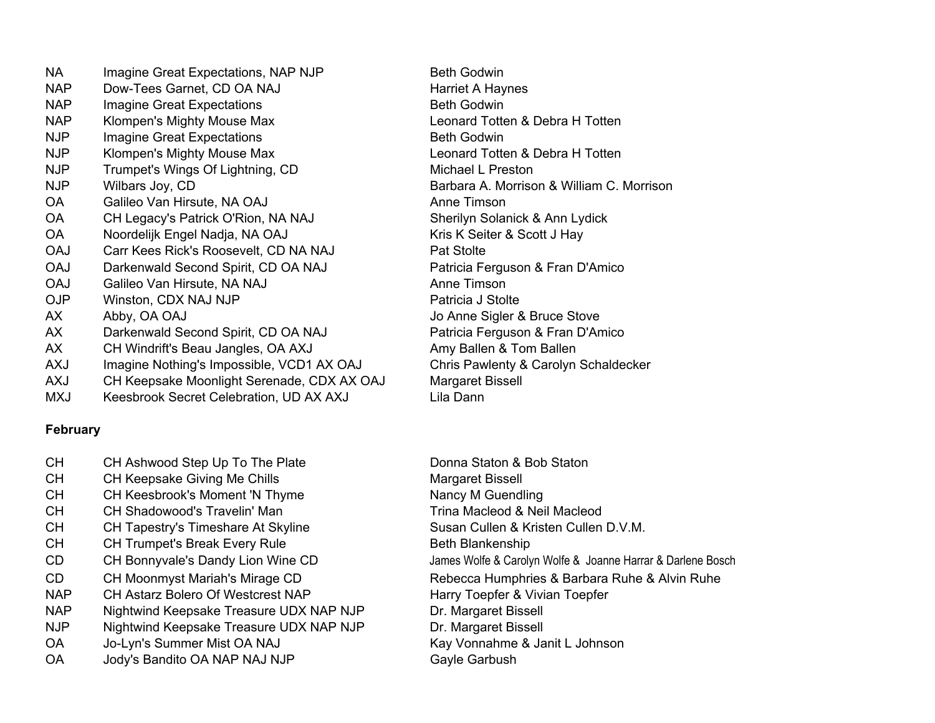NA Imagine Great Expectations, NAP NJP Beth Godwin NAP Dow-Tees Garnet, CD OA NAJ Harriet A Haynes NAP Imagine Great Expectations **Beth Godwin** Beth Godwin NAP Klompen's Mighty Mouse Max Leonard Totten & Debra H Totten NJP Imagine Great Expectations **Beth Godwin** Beth Godwin NJP Klompen's Mighty Mouse Max Leonard Totten & Debra H Totten NJP Trumpet's Wings Of Lightning, CD Michael L Preston NJP Wilbars Joy, CD Barbara A. Morrison & William C. Morrison OA Galileo Van Hirsute, NA OAJ Anne Timson OA CH Legacy's Patrick O'Rion, NA NAJ Sherilyn Solanick & Ann Lydick OA Noordelijk Engel Nadja, NA OAJ Kris K Seiter & Scott J Hay OAJ Carr Kees Rick's Roosevelt, CD NA NAJ Pat Stolte OAJ Darkenwald Second Spirit, CD OA NAJ Patricia Ferguson & Fran D'Amico OAJ Galileo Van Hirsute, NA NAJ Anne Timson OJP Winston, CDX NAJ NJP PAtricia J Stolte AX Abby, OA OAJ 30 Anne Sigler & Bruce Stove AX Darkenwald Second Spirit, CD OA NAJ Patricia Ferguson & Fran D'Amico AX CH Windrift's Beau Jangles, OA AXJ Amy Ballen & Tom Ballen AXJ Imagine Nothing's Impossible, VCD1 AX OAJ Chris Pawlenty & Carolyn Schaldecker AXJ CH Keepsake Moonlight Serenade, CDX AX OAJ Margaret Bissell MXJ Keesbrook Secret Celebration, UD AX AXJ Lila Dann

## **February**

- CH CH Ashwood Step Up To The Plate Donna Staton & Bob Staton & Bob Staton CH CH Keepsake Giving Me Chills Manual Margaret Bissell CH CH Keesbrook's Moment 'N Thyme Nancy M Guendling CH CH Shadowood's Travelin' Man Trina Macleod & Neil MacleodCH CH Tapestry's Timeshare At Skyline Susan Cullen & Kristen Cullen D.V.M. CH CH Trumpet's Break Every Rule Beth Blankenship CD CH Bonnyvale's Dandy Lion Wine CD James Wolfe & Carolyn Wolfe & Joanne Harrar & Darlene Bosch CD CH Moonmyst Mariah's Mirage CD Rebecca Humphries & Barbara Ruhe & Alvin Ruhe NAP CH Astarz Bolero Of Westcrest NAP Harry Toepfer & Vivian Toepfer NAP Nightwind Keepsake Treasure UDX NAP NJP Dr. Margaret Bissell NJP Nightwind Keepsake Treasure UDX NAP NJP Dr. Margaret Bissell OA Jo-Lyn's Summer Mist OA NAJ Kay Vonnahme & Janit L Johnson OA Jody's Bandito OA NAP NAJ NJP Gayle Garbush
- 
-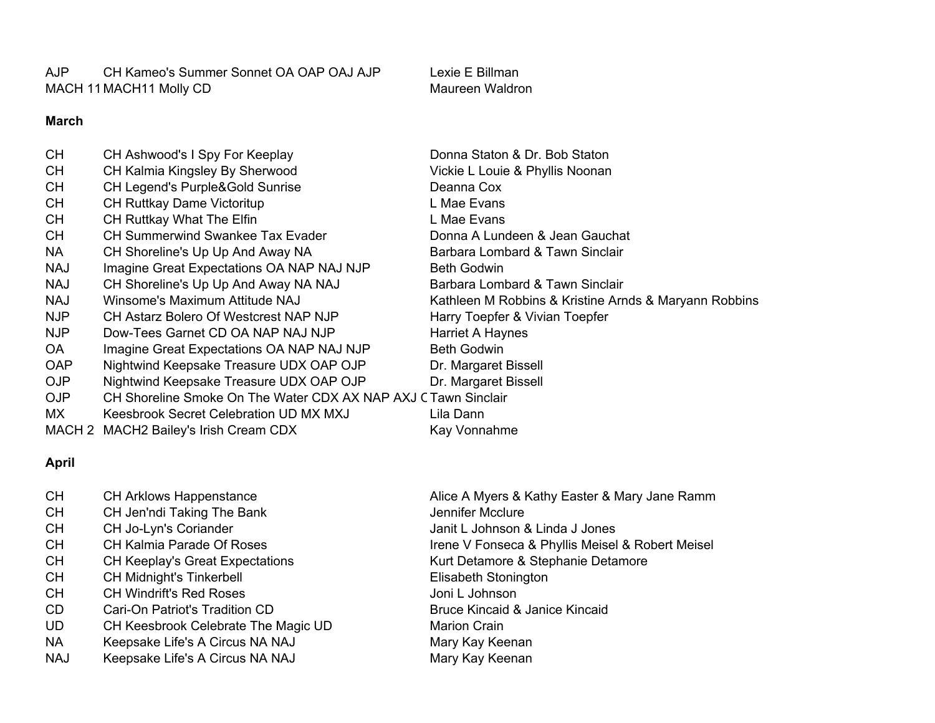AJP CH Kameo's Summer Sonnet OA OAP OAJ AJP MACH 11 MACH11 Molly CD MACH 11 MACH11 Molly CD

Lexie E Billman

#### **March**

| <b>CH</b>  | CH Ashwood's I Spy For Keeplay                                 | Donna Staton & Dr. Bob Staton                         |
|------------|----------------------------------------------------------------|-------------------------------------------------------|
| CH.        | CH Kalmia Kingsley By Sherwood                                 | Vickie L Louie & Phyllis Noonan                       |
| <b>CH</b>  | <b>CH Legend's Purple&amp;Gold Sunrise</b>                     | Deanna Cox                                            |
| <b>CH</b>  | CH Ruttkay Dame Victoritup                                     | L Mae Evans                                           |
| CH.        | CH Ruttkay What The Elfin                                      | L Mae Evans                                           |
| CH         | <b>CH Summerwind Swankee Tax Evader</b>                        | Donna A Lundeen & Jean Gauchat                        |
| <b>NA</b>  | CH Shoreline's Up Up And Away NA                               | Barbara Lombard & Tawn Sinclair                       |
| <b>NAJ</b> | Imagine Great Expectations OA NAP NAJ NJP                      | Beth Godwin                                           |
| <b>NAJ</b> | CH Shoreline's Up Up And Away NA NAJ                           | Barbara Lombard & Tawn Sinclair                       |
| <b>NAJ</b> | Winsome's Maximum Attitude NAJ                                 | Kathleen M Robbins & Kristine Arnds & Maryann Robbins |
| <b>NJP</b> | CH Astarz Bolero Of Westcrest NAP NJP                          | Harry Toepfer & Vivian Toepfer                        |
| <b>NJP</b> | Dow-Tees Garnet CD OA NAP NAJ NJP                              | Harriet A Haynes                                      |
| <b>OA</b>  | Imagine Great Expectations OA NAP NAJ NJP                      | <b>Beth Godwin</b>                                    |
| <b>OAP</b> | Nightwind Keepsake Treasure UDX OAP OJP                        | Dr. Margaret Bissell                                  |
| <b>OJP</b> | Nightwind Keepsake Treasure UDX OAP OJP                        | Dr. Margaret Bissell                                  |
| <b>OJP</b> | CH Shoreline Smoke On The Water CDX AX NAP AXJ C Tawn Sinclair |                                                       |
| MX.        | Keesbrook Secret Celebration UD MX MXJ                         | Lila Dann                                             |
| .          |                                                                |                                                       |

MACH 2 MACH2 Bailey's Irish Cream CDX Kay Vonnahme

## **April**

| СH         | <b>CH Arklows Happenstance</b>         | Alice A Myers & Kathy Easter & Mary Jane Ramm    |
|------------|----------------------------------------|--------------------------------------------------|
|            |                                        |                                                  |
| СH         | CH Jen'ndi Taking The Bank             | Jennifer Mcclure                                 |
| СH         | CH Jo-Lyn's Coriander                  | Janit L Johnson & Linda J Jones                  |
| СH         | <b>CH Kalmia Parade Of Roses</b>       | Irene V Fonseca & Phyllis Meisel & Robert Meisel |
| СH         | <b>CH Keeplay's Great Expectations</b> | Kurt Detamore & Stephanie Detamore               |
| <b>CH</b>  | <b>CH Midnight's Tinkerbell</b>        | Elisabeth Stonington                             |
| СH         | <b>CH Windrift's Red Roses</b>         | Joni L Johnson                                   |
| CD         | Cari-On Patriot's Tradition CD         | Bruce Kincaid & Janice Kincaid                   |
| UD         | CH Keesbrook Celebrate The Magic UD    | <b>Marion Crain</b>                              |
| <b>NA</b>  | Keepsake Life's A Circus NA NAJ        | Mary Kay Keenan                                  |
| <b>NAJ</b> | Keepsake Life's A Circus NA NAJ        | Mary Kay Keenan                                  |
|            |                                        |                                                  |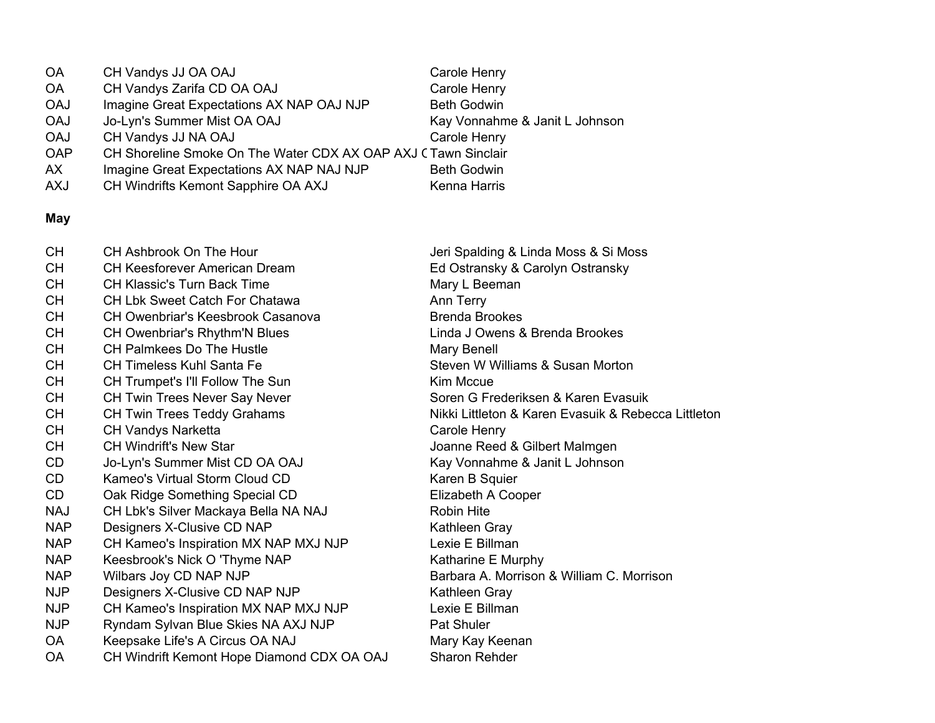| <b>OA</b>  | CH Vandys JJ OA OAJ                                           | Carole Henry                   |
|------------|---------------------------------------------------------------|--------------------------------|
| <b>OA</b>  | CH Vandys Zarifa CD OA OAJ                                    | Carole Henry                   |
| <b>OAJ</b> | Imagine Great Expectations AX NAP OAJ NJP                     | <b>Beth Godwin</b>             |
| <b>OAJ</b> | Jo-Lyn's Summer Mist OA OAJ                                   | Kay Vonnahme & Janit L Johnson |
| <b>OAJ</b> | CH Vandys JJ NA OAJ                                           | Carole Henry                   |
| <b>OAP</b> | CH Shoreline Smoke On The Water CDX AX OAP AXJ CTawn Sinclair |                                |
| AX         | Imagine Great Expectations AX NAP NAJ NJP                     | <b>Beth Godwin</b>             |
| <b>AXJ</b> | CH Windrifts Kemont Sapphire OA AXJ                           | <b>Kenna Harris</b>            |

#### **May**

| CH Ashbrook On The Hour                  |
|------------------------------------------|
| CH Keesforever American Dream            |
| <b>CH Klassic's Turn Back Time</b>       |
| <b>CH Lbk Sweet Catch For Chatawa</b>    |
| CH Owenbriar's Keesbrook Casanova        |
| CH Owenbriar's Rhythm'N Blues            |
| CH Palmkees Do The Hustle                |
| CH Timeless Kuhl Santa Fe                |
| CH Trumpet's I'll Follow The Sun         |
| CH Twin Trees Never Say Never            |
| <b>CH Twin Trees Teddy Grahams</b>       |
| <b>CH Vandys Narketta</b>                |
| <b>CH Windrift's New Star</b>            |
| Jo-Lyn's Summer Mist CD OA OAJ           |
| Kameo's Virtual Storm Cloud CD           |
| Oak Ridge Something Special CD           |
| CH Lbk's Silver Mackaya Bella NA NAJ     |
| Designers X-Clusive CD NAP               |
| CH Kameo's Inspiration MX NAP MXJ NJP    |
| Keesbrook's Nick O 'Thyme NAP            |
| Wilbars Joy CD NAP NJP                   |
| Designers X-Clusive CD NAP NJP           |
| CH Kameo's Inspiration MX NAP MXJ NJP    |
| Ryndam Sylvan Blue Skies NA AXJ NJP      |
| Keepsake Life's A Circus OA NAJ          |
| CH Windrift Kemont Hope Diamond CDX OA O |
|                                          |

Jeri Spalding & Linda Moss & Si Moss Ed Ostransky & Carolyn Ostransky Mary L Beeman Ann Terry Brenda Brookes Linda J Owens & Brenda Brookes **Mary Benell** Steven W Williams & Susan Morton Kim Mccue Soren G Frederiksen & Karen Evasuik Nikki Littleton & Karen Evasuik & Rebecca Littleton Carole Henry Joanne Reed & Gilbert Malmgen Kay Vonnahme & Janit L Johnson Karen B Squier Elizabeth A Cooper Robin Hite Kathleen Gray Lexie E Billman Katharine E Murphy Barbara A. Morrison & William C. Morrison Kathleen Gray Lexie E Billman Pat Shuler Mary Kay Keenan AJ Sharon Rehder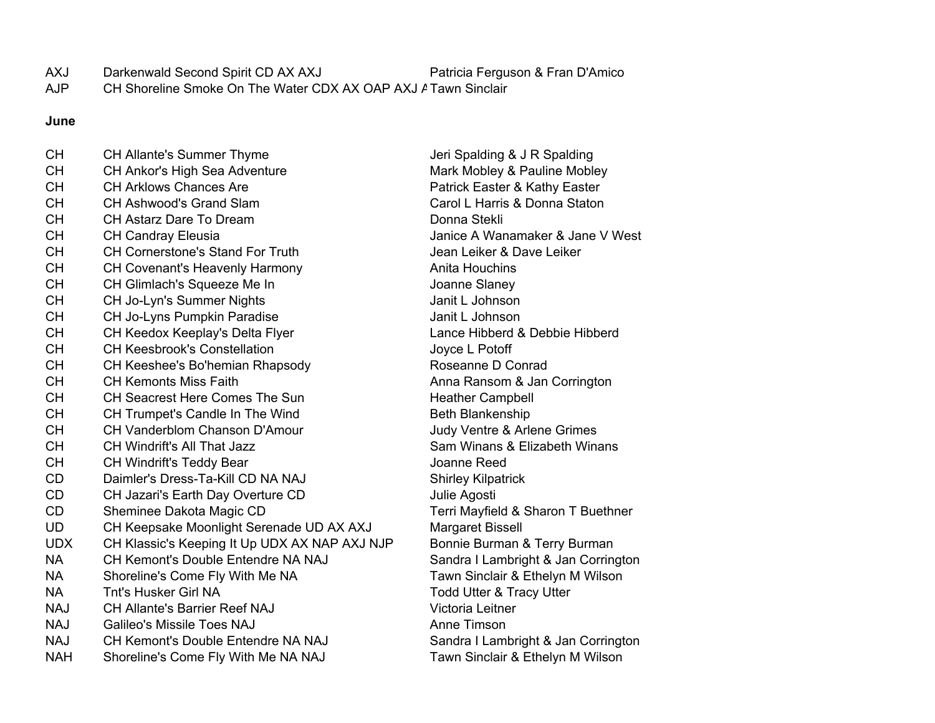AXJ Darkenwald Second Spirit CD AX AXJ Patricia Ferguson & Fran D'Amico

AJP CH Shoreline Smoke On The Water CDX AX OAP AXJ ATawn Sinclair

#### **June**

CH CH Allante's Summer Thyme **General CH** Spalding & J R Spalding CH CH Ankor's High Sea Adventure **Mark Mobley & Pauline Mobley** CH CH Arklows Chances Are **Patrick Easter & Kathy Easter** CH Arklows Chances Are CH CH Ashwood's Grand Slam Carol L Harris & Donna Staton CH CH Astarz Dare To Dream Donna StekliCH CH Candray Eleusia Janice A Wanamaker & Jane V West CH CH Cornerstone's Stand For Truth The Stand Leiker & Dave Leiker CH Cornerstone's Stand For Truth CH CH Covenant's Heavenly Harmony Theorem Anita Houchins CH CH Glimlach's Squeeze Me In Sanchester CH School Joanne Slaney CH CH Jo-Lyn's Summer Nights CH Janit L Johnson CH CH Jo-Lyns Pumpkin Paradise Janit L Johnson CH CH Keedox Keeplay's Delta Flyer Lance Hibberd & Debbie Hibberd & Debbie Hibberd CH CH Keesbrook's Constellation Joyce L Potoff CH CH Keeshee's Bo'hemian Rhapsody Roseanne D Conrad CH CH Kemonts Miss Faith Anna Ransom & Jan Corrington CH CH Seacrest Here Comes The Sun Neather Campbell CH CH Trumpet's Candle In The Wind Beth Blankenship CH CH Vanderblom Chanson D'Amour CH Judy Ventre & Arlene Grimes CH CH Windrift's All That Jazz Sam Winans & Elizabeth WinansCH CH Windrift's Teddy Bear **CH Windrift's Teddy Bear** CD Daimler's Dress-Ta-Kill CD NA NAJ Shirley Kilpatrick CD CH Jazari's Earth Day Overture CD Julie Agosti CD Sheminee Dakota Magic CD Terri Mayfield & Sharon T Buethner UD CH Keepsake Moonlight Serenade UD AX AXJ Margaret Bissell UDX CH Klassic's Keeping It Up UDX AX NAP AXJ NJP Bonnie Burman & Terry Burman NA CH Kemont's Double Entendre NA NAJ Sandra I Lambright & Jan Corrington NA Shoreline's Come Fly With Me NA Tawn Sinclair & Ethelyn M Wilson NA The The State Girl NA Todd Utter & Tracy Utter NAJ CH Allante's Barrier Reef NAJ Victoria LeitnerNAJ Galileo's Missile Toes NAJ Anne Timson NAJ CH Kemont's Double Entendre NA NAJ Sandra I Lambright & Jan Corrington NAH Shoreline's Come Fly With Me NA NAJ Tawn Sinclair & Ethelyn M Wilson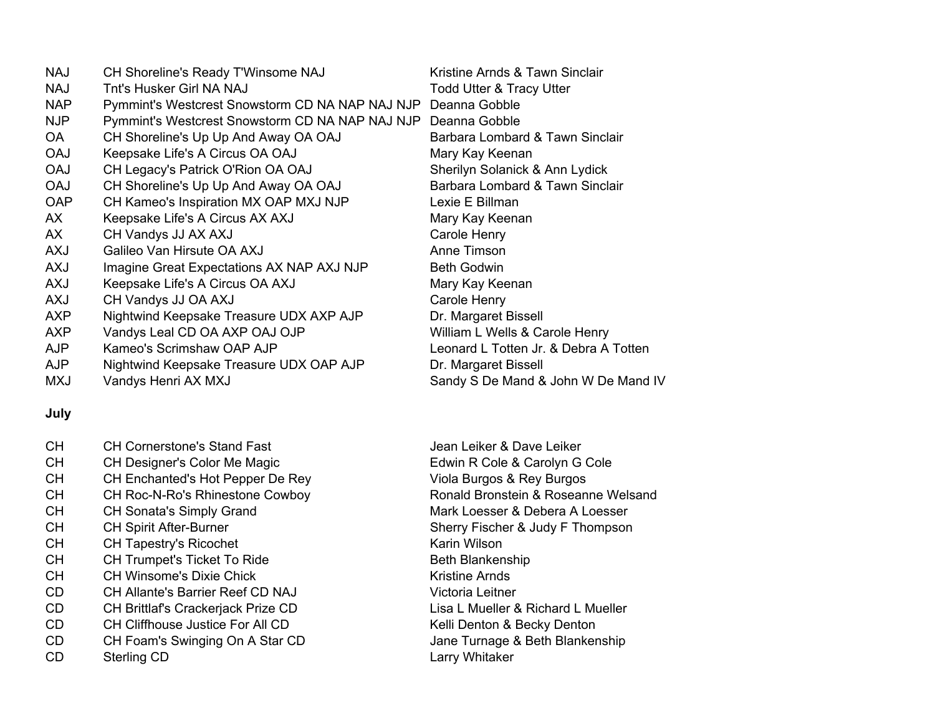| <b>NAJ</b> | CH Shoreline's Ready T'Winsome NAJ              | Kristine Arnds & Tawn Sinclair        |
|------------|-------------------------------------------------|---------------------------------------|
| <b>NAJ</b> | Tnt's Husker Girl NA NAJ                        | <b>Todd Utter &amp; Tracy Utter</b>   |
| <b>NAP</b> | Pymmint's Westcrest Snowstorm CD NA NAP NAJ NJP | Deanna Gobble                         |
| NJP        | Pymmint's Westcrest Snowstorm CD NA NAP NAJ NJP | Deanna Gobble                         |
| OA         | CH Shoreline's Up Up And Away OA OAJ            | Barbara Lombard & Tawn Sinclair       |
| <b>OAJ</b> | Keepsake Life's A Circus OA OAJ                 | Mary Kay Keenan                       |
| <b>OAJ</b> | CH Legacy's Patrick O'Rion OA OAJ               | Sherilyn Solanick & Ann Lydick        |
| <b>OAJ</b> | CH Shoreline's Up Up And Away OA OAJ            | Barbara Lombard & Tawn Sinclair       |
| <b>OAP</b> | CH Kameo's Inspiration MX OAP MXJ NJP           | Lexie E Billman                       |
| AX.        | Keepsake Life's A Circus AX AXJ                 | Mary Kay Keenan                       |
| AX.        | CH Vandys JJ AX AXJ                             | Carole Henry                          |
| <b>AXJ</b> | Galileo Van Hirsute OA AXJ                      | Anne Timson                           |
| <b>AXJ</b> | Imagine Great Expectations AX NAP AXJ NJP       | <b>Beth Godwin</b>                    |
| <b>AXJ</b> | Keepsake Life's A Circus OA AXJ                 | Mary Kay Keenan                       |
| <b>AXJ</b> | CH Vandys JJ OA AXJ                             | Carole Henry                          |
| <b>AXP</b> | Nightwind Keepsake Treasure UDX AXP AJP         | Dr. Margaret Bissell                  |
| <b>AXP</b> | Vandys Leal CD OA AXP OAJ OJP                   | William L Wells & Carole Henry        |
| <b>AJP</b> | Kameo's Scrimshaw OAP AJP                       | Leonard L Totten Jr. & Debra A Totten |
| <b>AJP</b> | Nightwind Keepsake Treasure UDX OAP AJP         | Dr. Margaret Bissell                  |
| MXJ        | Vandys Henri AX MXJ                             | Sandy S De Mand & John W De Mand IV   |
|            |                                                 |                                       |

### **July**

| CН | <b>CH Cornerstone's Stand Fast</b>        | Jean Leiker & I         |
|----|-------------------------------------------|-------------------------|
| CН | CH Designer's Color Me Magic              | Edwin R Cole &          |
| CН | CH Enchanted's Hot Pepper De Rey          | Viola Burgos &          |
| CН | CH Roc-N-Ro's Rhinestone Cowboy           | <b>Ronald Bronste</b>   |
| СH | <b>CH Sonata's Simply Grand</b>           | Mark Loesser &          |
| СH | <b>CH Spirit After-Burner</b>             | <b>Sherry Fischer</b>   |
| CН | <b>CH Tapestry's Ricochet</b>             | Karin Wilson            |
| СH | <b>CH Trumpet's Ticket To Ride</b>        | <b>Beth Blankensh</b>   |
| СH | <b>CH Winsome's Dixie Chick</b>           | Kristine Arnds          |
| CD | <b>CH Allante's Barrier Reef CD NAJ</b>   | <b>Victoria Leitner</b> |
| CD | <b>CH Brittlaf's Crackerjack Prize CD</b> | Lisa L Mueller          |
| CD | CH Cliffhouse Justice For All CD          | Kelli Denton &          |
| CD | CH Foam's Swinging On A Star CD           | Jane Turnage &          |
| CD | Sterling CD                               | Larry Whitaker          |
|    |                                           |                         |

Jean Leiker & Dave Leiker Edwin R Cole & Carolyn G Cole Viola Burgos & Rey Burgos Ronald Bronstein & Roseanne Welsand Mark Loesser & Debera A Loesser Sherry Fischer & Judy F Thompson Karin Wilson Beth Blankenship Kristine Arnds Lisa L Mueller & Richard L Mueller Kelli Denton & Becky Denton Jane Turnage & Beth Blankenship Larry Whitaker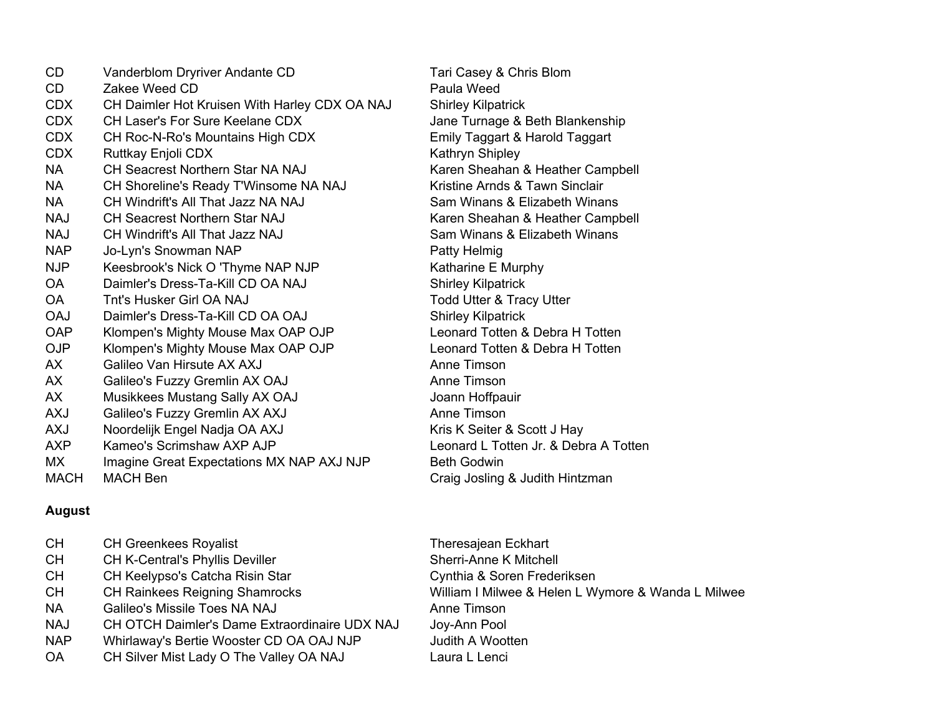| CD          | Vanderblom Dryriver Andante CD                |
|-------------|-----------------------------------------------|
| CD.         | Zakee Weed CD                                 |
| <b>CDX</b>  | CH Daimler Hot Kruisen With Harley CDX OA NAJ |
| <b>CDX</b>  | CH Laser's For Sure Keelane CDX               |
| <b>CDX</b>  | CH Roc-N-Ro's Mountains High CDX              |
| <b>CDX</b>  | Ruttkay Enjoli CDX                            |
| NA.         | CH Seacrest Northern Star NA NAJ              |
| <b>NA</b>   | CH Shoreline's Ready T'Winsome NA NAJ         |
| NA.         | CH Windrift's All That Jazz NA NAJ            |
| NAJ         | CH Seacrest Northern Star NAJ                 |
| NAJ         | CH Windrift's All That Jazz NAJ               |
| NAP         | Jo-Lyn's Snowman NAP                          |
| NJP         | Keesbrook's Nick O 'Thyme NAP NJP             |
| 0A          | Daimler's Dress-Ta-Kill CD OA NAJ             |
| <b>OA</b>   | Tnt's Husker Girl OA NAJ                      |
| <b>OAJ</b>  | Daimler's Dress-Ta-Kill CD OA OAJ             |
| <b>OAP</b>  | Klompen's Mighty Mouse Max OAP OJP            |
| OJP         | Klompen's Mighty Mouse Max OAP OJP            |
| AX.         | Galileo Van Hirsute AX AXJ                    |
| <b>AX</b>   | Galileo's Fuzzy Gremlin AX OAJ                |
| <b>AX</b>   | Musikkees Mustang Sally AX OAJ                |
| <b>AXJ</b>  | Galileo's Fuzzy Gremlin AX AXJ                |
| <b>AXJ</b>  | Noordelijk Engel Nadja OA AXJ                 |
| AXP         | Kameo's Scrimshaw AXP AJP                     |
| MX.         | Imagine Great Expectations MX NAP AXJ NJP     |
| <b>MACH</b> | <b>MACH Ben</b>                               |

### **August**

| <b>CH</b>  | <b>CH Greenkees Royalist</b>                  | <b>Theresajean Eckhart</b>                         |
|------------|-----------------------------------------------|----------------------------------------------------|
| <b>CH</b>  | <b>CH K-Central's Phyllis Deviller</b>        | Sherri-Anne K Mitchell                             |
| <b>CH</b>  | CH Keelypso's Catcha Risin Star               | Cynthia & Soren Frederiksen                        |
| <b>CH</b>  | <b>CH Rainkees Reigning Shamrocks</b>         | William I Milwee & Helen L Wymore & Wanda L Milwee |
| <b>NA</b>  | Galileo's Missile Toes NA NAJ                 | Anne Timson                                        |
| <b>NAJ</b> | CH OTCH Daimler's Dame Extraordinaire UDX NAJ | Joy-Ann Pool                                       |
| <b>NAP</b> | Whirlaway's Bertie Wooster CD OA OAJ NJP      | Judith A Wootten                                   |
| <b>OA</b>  | CH Silver Mist Lady O The Valley OA NAJ       | Laura L Lenci                                      |
|            |                                               |                                                    |

Tari Casey & Chris Blom Paula Weed Shirley Kilpatrick Jane Turnage & Beth Blankenship Emily Taggart & Harold Taggart Kathryn Shipley Karen Sheahan & Heather Campbell Kristine Arnds & Tawn Sinclair Sam Winans & Elizabeth Winans Karen Sheahan & Heather Campbell Sam Winans & Elizabeth Winans Patty Helmig Katharine E Murphy Shirley Kilpatrick Todd Utter & Tracy Utter Shirley Kilpatrick Leonard Totten & Debra H Totten Leonard Totten & Debra H Totten Anne Timson Anne Timson Joann Hoffpauir Anne Timson Kris K Seiter & Scott J Hay Leonard L Totten Jr. & Debra A Totten Beth Godwin Craig Josling & Judith Hintzman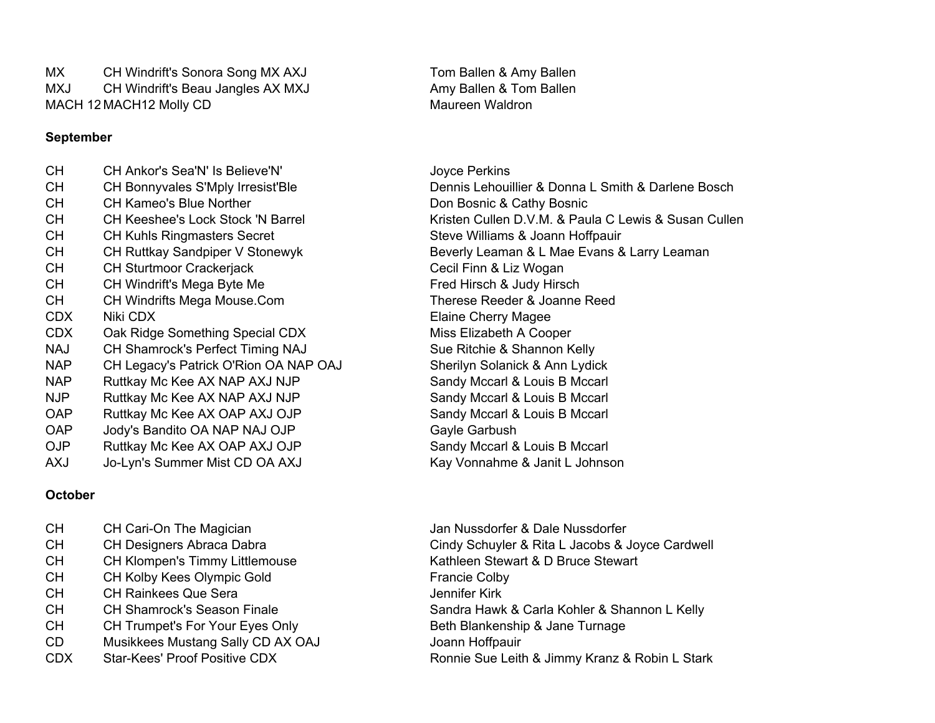MX CH Windrift's Sonora Song MX AXJ Tom Ballen & Amy Ballen MXJ CH Windrift's Beau Jangles AX MXJ Amy Ballen & Tom Ballen MACH 1 2 MACH12 Molly CD Maureen Waldron

#### **September**

CH CH Ankor's Sea'N' Is Believe'N' Joyce Perkins CH CH Kameo's Blue Norther **Don Bosnic & Cathy Bosnic** CH CH Kameo's Blue Norther Don Bosnic & Cathy Bosnic CH CH Kuhls Ringmasters Secret Subsection Steve Williams & Joann Hoffpauir CH CH Sturtmoor Crackerjack CH Cecil Finn & Liz Wogan CH CH Windrift's Mega Byte Me **Fred Hirsch & Judy Hirsch** CH Windrift's Mega Byte Me CH CH Windrifts Mega Mouse.Com Therese Reeder & Joanne Reed CDX Niki CDX Elaine Cherry Magee CDX Oak Ridge Something Special CDX Miss Elizabeth A Cooper NAJ CH Shamrock's Perfect Timing NAJ Sue Ritchie & Shannon Kelly NAP CH Legacy's Patrick O'Rion OA NAP OAJ Sherilyn Solanick & Ann Lydick NAP Ruttkay Mc Kee AX NAP AXJ NJP Sandy Mccarl & Louis B Mccarl NJP Ruttkay Mc Kee AX NAP AXJ NJP Sandy Mccarl & Louis B Mccarl OAP Ruttkay Mc Kee AX OAP AXJ OJP Sandy Mccarl & Louis B Mccarl OAP Jody's Bandito OA NAP NAJ OJP Gayle Garbush OJP Ruttkay Mc Kee AX OAP AXJ OJP Sandy Mccarl & Louis B Mccarl AXJ Jo-Lyn's Summer Mist CD OA AXJ Kay Vonnahme & Janit L Johnson

### **October**

CH CH Cari-On The Magician CH CH Cari-On The Magician Jan Nussdorfer & Dale Nussdorfer CH CH Klompen's Timmy Littlemouse Kathleen Stewart & D Bruce Stewart CH CH Kolby Kees Olympic Gold Francie Colby CH CH Rainkees Que Sera Jennifer Kirk CH CH Trumpet's For Your Eyes Only Beth Blankenship & Jane Turnage CD Musikkees Mustang Sally CD AX OAJ Joann Hoffpauir

CH CH Bonnyvales S'Mply Irresist'Ble Dennis Lehouillier & Donna L Smith & Darlene Bosch CH CH Keeshee's Lock Stock 'N Barrel Kristen Cullen D.V.M. & Paula C Lewis & Susan CullenCH CH Ruttkay Sandpiper V Stonewyk Beverly Leaman & L Mae Evans & Larry Leaman

CH CH Designers Abraca Dabra Cindy Schuyler & Rita L Jacobs & Joyce Cardwell CH CH Shamrock's Season Finale Shanger Sandra Hawk & Carla Kohler & Shannon L Kelly CDX Star-Kees' Proof Positive CDX Ronnie Sue Leith & Jimmy Kranz & Robin L Stark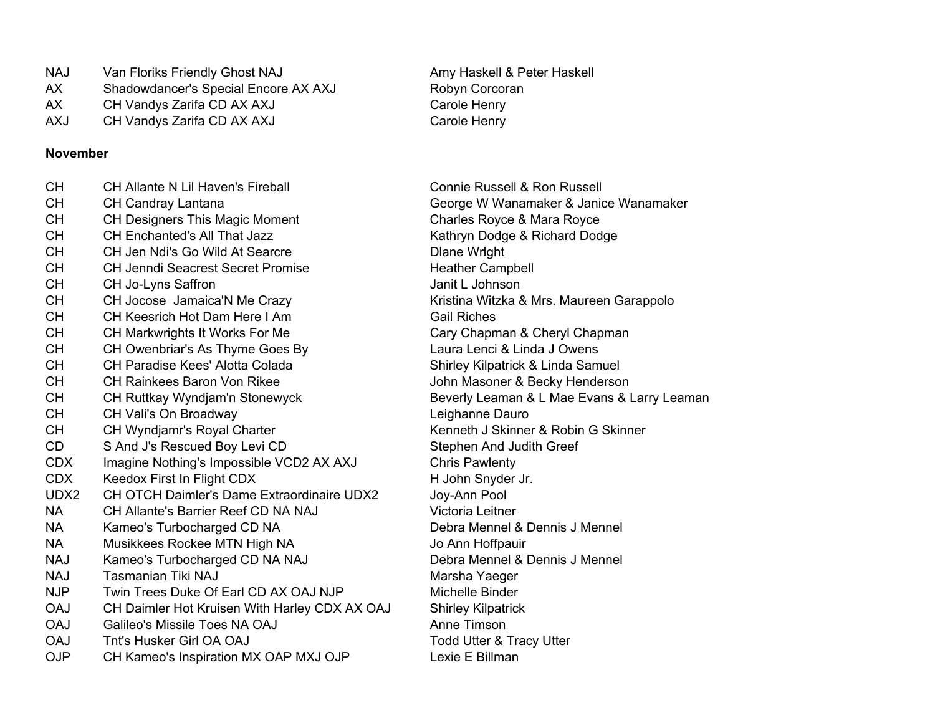| <b>NAJ</b> | Van Floriks Friendly Ghost NAJ       | Amy Haskell &       |
|------------|--------------------------------------|---------------------|
| AX.        | Shadowdancer's Special Encore AX AXJ | <b>Robyn Corcor</b> |
| AX.        | CH Vandys Zarifa CD AX AXJ           | Carole Henry        |
| AXJ        | CH Vandys Zarifa CD AX AXJ           | Carole Henry        |

#### **November**

| <b>CH</b>  | <b>CH Allante N Lil Haven's Fireball</b>          |
|------------|---------------------------------------------------|
| СH         | <b>CH Candray Lantana</b>                         |
| <b>CH</b>  | <b>CH Designers This Magic Moment</b>             |
| <b>CH</b>  | CH Enchanted's All That Jazz                      |
| <b>CH</b>  | CH Jen Ndi's Go Wild At Searcre                   |
| <b>CH</b>  | <b>CH Jenndi Seacrest Secret Promise</b>          |
| <b>CH</b>  | CH Jo-Lyns Saffron                                |
| <b>CH</b>  | CH Jocose Jamaica'N Me Crazy                      |
| <b>CH</b>  | CH Keesrich Hot Dam Here I Am                     |
| <b>CH</b>  | CH Markwrights It Works For Me                    |
| <b>CH</b>  | CH Owenbriar's As Thyme Goes By                   |
| <b>CH</b>  | <b>CH Paradise Kees' Alotta Colada</b>            |
| СH         | <b>CH Rainkees Baron Von Rikee</b>                |
| СH         | CH Ruttkay Wyndjam'n Stonewyck                    |
| <b>CH</b>  | CH Vali's On Broadway                             |
| <b>CH</b>  | CH Wyndjamr's Royal Charter                       |
| CD         | S And J's Rescued Boy Levi CD                     |
| <b>CDX</b> | Imagine Nothing's Impossible VCD2 AX AXJ          |
| <b>CDX</b> | Keedox First In Flight CDX                        |
| UDX2       | <b>CH OTCH Daimler's Dame Extraordinaire UDX2</b> |
| NA.        | CH Allante's Barrier Reef CD NA NAJ               |
| NA.        | Kameo's Turbocharged CD NA                        |
| NA.        | Musikkees Rockee MTN High NA                      |
| <b>NAJ</b> | Kameo's Turbocharged CD NA NAJ                    |
| <b>NAJ</b> | Tasmanian Tiki NAJ                                |
| NJP        | Twin Trees Duke Of Earl CD AX OAJ NJP             |
| <b>OAJ</b> | CH Daimler Hot Kruisen With Harley CDX AX OAJ     |
| <b>OAJ</b> | Galileo's Missile Toes NA OAJ                     |
| <b>OAJ</b> | Tnt's Husker Girl OA OAJ                          |
| OJP        | CH Kameo's Inspiration MX OAP MXJ OJP             |

Amy Haskell & Peter Haskell AXJ Robyn Corcoran Carole Henry

> Connie Russell & Ron Russell George W Wanamaker & Janice Wanamaker Charles Royce & Mara Royce Kathryn Dodge & Richard Dodge Dlane Wrlght Heather Campbell Janit L Johnson Kristina Witzka & Mrs. Maureen Garappolo **Gail Riches** Cary Chapman & Cheryl Chapman Laura Lenci & Linda J Owens Shirley Kilpatrick & Linda Samuel John Masoner & Becky Henderson Beverly Leaman & L Mae Evans & Larry Leaman Leighanne Dauro Kenneth J Skinner & Robin G Skinner Stephen And Judith Greef Chris Pawlenty H John Snyder Jr. Joy-Ann Pool Victoria Leitner Debra Mennel & Dennis J Mennel Jo Ann Hoffpauir Debra Mennel & Dennis J Mennel Marsha Yaeger Michelle Binder Shirley Kilpatrick Anne Timson Todd Utter & Tracy Utter Lexie E Billman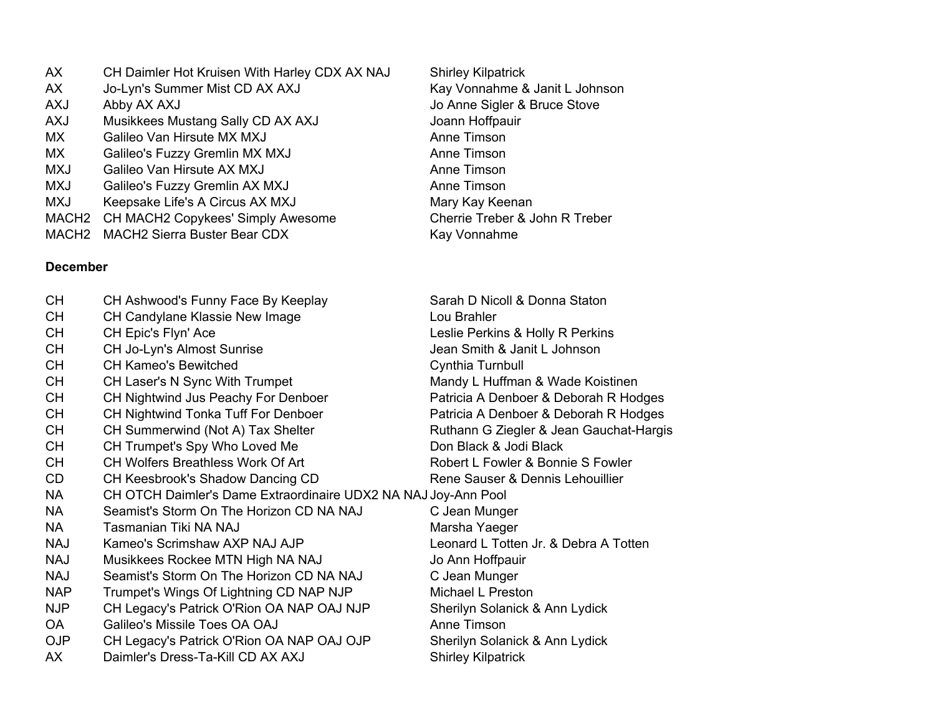| AX         | CH Daimler Hot Kruisen With Harley CDX AX NA |
|------------|----------------------------------------------|
| AX         | Jo-Lyn's Summer Mist CD AX AXJ               |
| <b>AXJ</b> | Abby AX AXJ                                  |
| <b>AXJ</b> | Musikkees Mustang Sally CD AX AXJ            |
| MX.        | Galileo Van Hirsute MX MXJ                   |
| MX.        | Galileo's Fuzzy Gremlin MX MXJ               |
| <b>MXJ</b> | Galileo Van Hirsute AX MXJ                   |
| <b>MXJ</b> | Galileo's Fuzzy Gremlin AX MXJ               |
| <b>MXJ</b> | Keepsake Life's A Circus AX MXJ              |
|            | MACH2 CH MACH2 Copykees' Simply Awesome      |
| MACH2      | MACH2 Sierra Buster Bear CDX                 |

### **December**

CH CH Ashwood's Funny Face By Keeplay Sarah D Nicoll & Donna Staton CH CH Candylane Klassie New Image The Counter Counter Counter Counter Counter Counter Counter Counter Counter Counter Counter Counter Counter Counter Counter Counter Counter Counter Counter Counter Counter Counter Counter CH CH Epic's Flyn' Ace Leslie Perkins & Holly R Perkins CH CH Jo-Lyn's Almost Sunrise CH Johnson Jean Smith & Janit L Johnson CH CH Kameo's Bewitched CH Cynthia Turnbull CH CH Laser's N Sync With Trumpet Mandy L Huffman & Wade Koistinen CH CH Nightwind Jus Peachy For Denboer Patricia A Denboer & Deborah R Hodges CH CH Nightwind Tonka Tuff For Denboer Patricia A Denboer & Deborah R Hodges CH CH Summerwind (Not A) Tax Shelter Ruthann G Ziegler & Jean Gauchat-Hargis CH CH Trumpet's Spy Who Loved Me CH Don Black & Jodi Black CH CH Wolfers Breathless Work Of Art **Robert L Fowler & Bonnie S Fowler** CD CH Keesbrook's Shadow Dancing CD Rene Sauser & Dennis Lehouillier NA CH OTCH Daimler's Dame Extraordinaire UDX2 NA NAJ Joy-Ann Pool NA Seamist's Storm On The Horizon CD NA NAJ C Jean Munger NA Tasmanian Tiki NA NAJ Marsha Yaeger NAJ Kameo's Scrimshaw AXP NAJ AJP Leonard L Totten Jr. & Debra A TottenNAJ Musikkees Rockee MTN High NA NAJ Jo Ann Hoffpauir NAJ Seamist's Storm On The Horizon CD NA NAJ C Jean Munger NAP Trumpet's Wings Of Lightning CD NAP NJP Michael L Preston NJP CH Legacy's Patrick O'Rion OA NAP OAJ NJP Sherilyn Solanick & Ann Lydick OA Galileo's Missile Toes OA OAJ **Anne Timson** OJP CH Legacy's Patrick O'Rion OA NAP OAJ OJP Sherilyn Solanick & Ann Lydick AX Daimler's Dress-Ta-Kill CD AX AXJ Shirley Kilpatrick

AJ Shirley Kilpatrick Kay Vonnahme & Janit L Johnson Jo Anne Sigler & Bruce Stove Joann Hoffpauir Anne Timson Anne Timson Anne Timson Anne Timson Mary Kay Keenan Cherrie Treber & John R Treber Kay Vonnahme